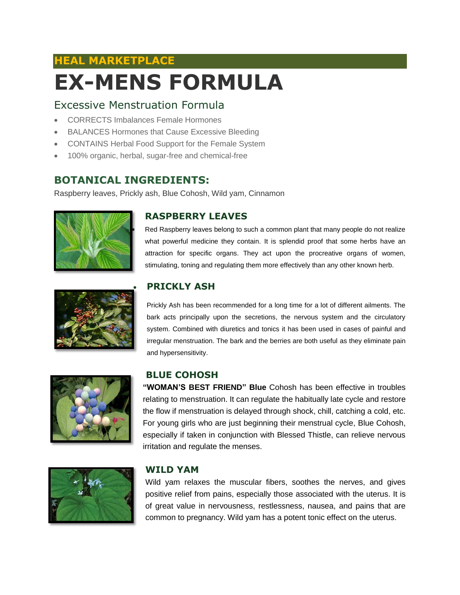# **HEAL MARKETPLACE EX-MENS FORMULA**

## Excessive Menstruation Formula

- CORRECTS Imbalances Female Hormones
- BALANCES Hormones that Cause Excessive Bleeding
- CONTAINS Herbal Food Support for the Female System
- 100% organic, herbal, sugar-free and chemical-free

## **BOTANICAL INGREDIENTS:**

Raspberry leaves, Prickly ash, Blue Cohosh, Wild yam, Cinnamon





### **RASPBERRY LEAVES**

 Red Raspberry leaves belong to such a common plant that many people do not realize what powerful medicine they contain. It is splendid proof that some herbs have an attraction for specific organs. They act upon the procreative organs of women, stimulating, toning and regulating them more effectively than any other known herb.

### **PRICKLY ASH**

Prickly Ash has been recommended for a long time for a lot of different ailments. The bark acts principally upon the secretions, the nervous system and the circulatory system. Combined with diuretics and tonics it has been used in cases of painful and irregular menstruation. The bark and the berries are both useful as they eliminate pain and hypersensitivity.



# **BLUE COHOSH**

**"WOMAN'S BEST FRIEND" Blue** Cohosh has been effective in troubles relating to menstruation. It can regulate the habitually late cycle and restore the flow if menstruation is delayed through shock, chill, catching a cold, etc. For young girls who are just beginning their menstrual cycle, Blue Cohosh, especially if taken in conjunction with Blessed Thistle, can relieve nervous irritation and regulate the menses.



### **WILD YAM**

Wild yam relaxes the muscular fibers, soothes the nerves, and gives positive relief from pains, especially those associated with the uterus. It is of great value in nervousness, restlessness, nausea, and pains that are common to pregnancy. Wild yam has a potent tonic effect on the uterus.